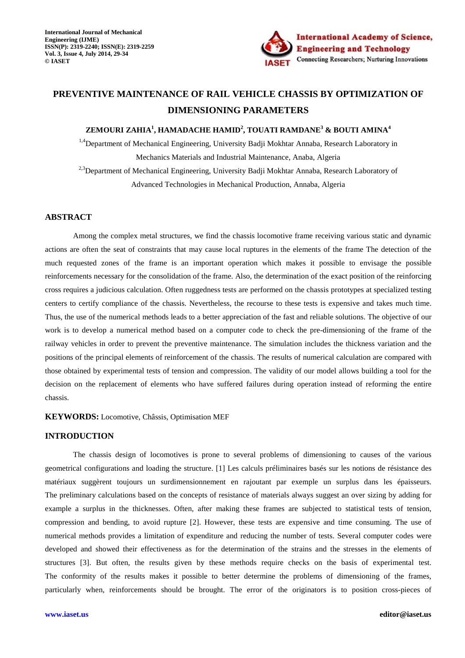

# **PREVENTIVE MAINTENANCE OF RAIL VEHICLE CHASSIS BY OPTIMIZATION OF DIMENSIONING PARAMETERS**

# **ZEMOURI ZAHIA<sup>1</sup> , HAMADACHE HAMID<sup>2</sup> , TOUATI RAMDANE<sup>3</sup> & BOUTI AMINA<sup>4</sup>**

 $1.4$ Department of Mechanical Engineering, University Badii Mokhtar Annaba, Research Laboratory in Mechanics Materials and Industrial Maintenance, Anaba, Algeria <sup>2,3</sup>Department of Mechanical Engineering, University Badji Mokhtar Annaba, Research Laboratory of

Advanced Technologies in Mechanical Production, Annaba, Algeria

# **ABSTRACT**

Among the complex metal structures, we find the chassis locomotive frame receiving various static and dynamic actions are often the seat of constraints that may cause local ruptures in the elements of the frame The detection of the much requested zones of the frame is an important operation which makes it possible to envisage the possible reinforcements necessary for the consolidation of the frame. Also, the determination of the exact position of the reinforcing cross requires a judicious calculation. Often ruggedness tests are performed on the chassis prototypes at specialized testing centers to certify compliance of the chassis. Nevertheless, the recourse to these tests is expensive and takes much time. Thus, the use of the numerical methods leads to a better appreciation of the fast and reliable solutions. The objective of our work is to develop a numerical method based on a computer code to check the pre-dimensioning of the frame of the railway vehicles in order to prevent the preventive maintenance. The simulation includes the thickness variation and the positions of the principal elements of reinforcement of the chassis. The results of numerical calculation are compared with those obtained by experimental tests of tension and compression. The validity of our model allows building a tool for the decision on the replacement of elements who have suffered failures during operation instead of reforming the entire chassis.

## **KEYWORDS:** Locomotive, Châssis, Optimisation MEF

# **INTRODUCTION**

The chassis design of locomotives is prone to several problems of dimensioning to causes of the various geometrical configurations and loading the structure. [1] Les calculs préliminaires basés sur les notions de résistance des matériaux suggèrent toujours un surdimensionnement en rajoutant par exemple un surplus dans les épaisseurs. The preliminary calculations based on the concepts of resistance of materials always suggest an over sizing by adding for example a surplus in the thicknesses. Often, after making these frames are subjected to statistical tests of tension, compression and bending, to avoid rupture [2]. However, these tests are expensive and time consuming. The use of numerical methods provides a limitation of expenditure and reducing the number of tests. Several computer codes were developed and showed their effectiveness as for the determination of the strains and the stresses in the elements of structures [3]. But often, the results given by these methods require checks on the basis of experimental test. The conformity of the results makes it possible to better determine the problems of dimensioning of the frames, particularly when, reinforcements should be brought. The error of the originators is to position cross-pieces of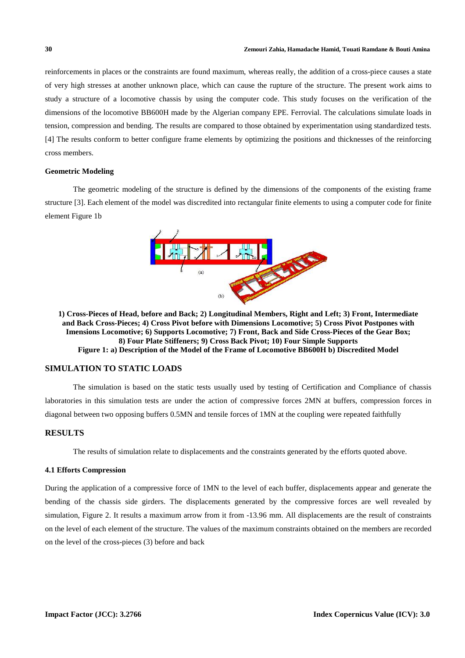reinforcements in places or the constraints are found maximum, whereas really, the addition of a cross-piece causes a state of very high stresses at another unknown place, which can cause the rupture of the structure. The present work aims to study a structure of a locomotive chassis by using the computer code. This study focuses on the verification of the dimensions of the locomotive BB600H made by the Algerian company EPE. Ferrovial. The calculations simulate loads in tension, compression and bending. The results are compared to those obtained by experimentation using standardized tests. [4] The results conform to better configure frame elements by optimizing the positions and thicknesses of the reinforcing cross members.

# **Geometric Modeling**

The geometric modeling of the structure is defined by the dimensions of the components of the existing frame structure [3]. Each element of the model was discredited into rectangular finite elements to using a computer code for finite element Figure 1b



**1) Cross-Pieces of Head, before and Back; 2) Longitudinal Members, Right and Left; 3) Front, Intermediate and Back Cross-Pieces; 4) Cross Pivot before with Dimensions Locomotive; 5) Cross Pivot Postpones with Imensions Locomotive; 6) Supports Locomotive; 7) Front, Back and Side Cross-Pieces of the Gear Box; 8) Four Plate Stiffeners; 9) Cross Back Pivot; 10) Four Simple Supports Figure 1: a) Description of the Model of the Frame of Locomotive BB600H b) Discredited Model** 

# **SIMULATION TO STATIC LOADS**

The simulation is based on the static tests usually used by testing of Certification and Compliance of chassis laboratories in this simulation tests are under the action of compressive forces 2MN at buffers, compression forces in diagonal between two opposing buffers 0.5MN and tensile forces of 1MN at the coupling were repeated faithfully

# **RESULTS**

The results of simulation relate to displacements and the constraints generated by the efforts quoted above.

#### **4.1 Efforts Compression**

During the application of a compressive force of 1MN to the level of each buffer, displacements appear and generate the bending of the chassis side girders. The displacements generated by the compressive forces are well revealed by simulation, Figure 2. It results a maximum arrow from it from -13.96 mm. All displacements are the result of constraints on the level of each element of the structure. The values of the maximum constraints obtained on the members are recorded on the level of the cross-pieces (3) before and back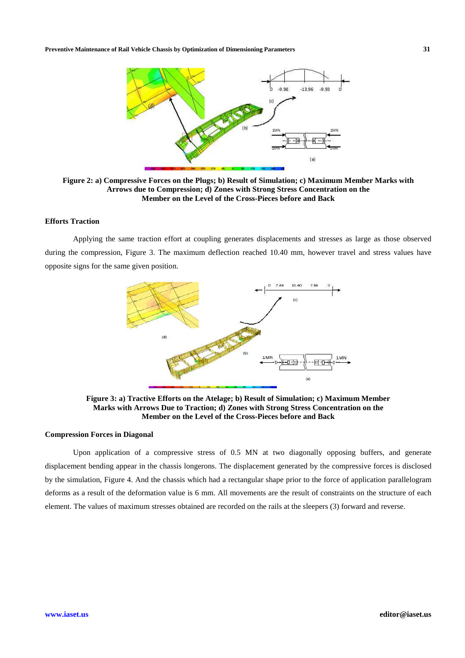**Preventive Maintenance of Rail Vehicle Chassis by Optimization of Dimensioning Parameters 31** 



**Figure 2: a) Compressive Forces on the Plugs; b) Result of Simulation; c) Maximum Member Marks with Arrows due to Compression; d) Zones with Strong Stress Concentration on the Member on the Level of the Cross-Pieces before and Back** 

### **Efforts Traction**

Applying the same traction effort at coupling generates displacements and stresses as large as those observed during the compression, Figure 3. The maximum deflection reached 10.40 mm, however travel and stress values have opposite signs for the same given position.



**Figure 3: a) Tractive Efforts on the Atelage; b) Result of Simulation; c) Maximum Member Marks with Arrows Due to Traction; d) Zones with Strong Stress Concentration on the Member on the Level of the Cross-Pieces before and Back** 

### **Compression Forces in Diagonal**

Upon application of a compressive stress of 0.5 MN at two diagonally opposing buffers, and generate displacement bending appear in the chassis longerons. The displacement generated by the compressive forces is disclosed by the simulation, Figure 4. And the chassis which had a rectangular shape prior to the force of application parallelogram deforms as a result of the deformation value is 6 mm. All movements are the result of constraints on the structure of each element. The values of maximum stresses obtained are recorded on the rails at the sleepers (3) forward and reverse.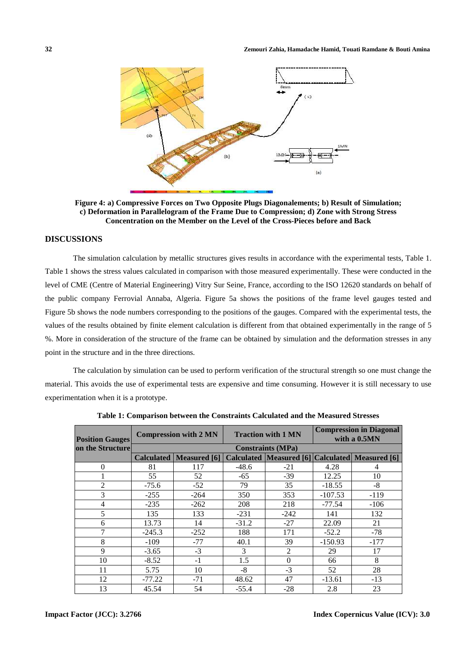

**Figure 4: a) Compressive Forces on Two Opposite Plugs Diagonalements; b) Result of Simulation; c) Deformation in Parallelogram of the Frame Due to Compression; d) Zone with Strong Stress Concentration on the Member on the Level of the Cross-Pieces before and Back** 

# **DISCUSSIONS**

The simulation calculation by metallic structures gives results in accordance with the experimental tests, Table 1. Table 1 shows the stress values calculated in comparison with those measured experimentally. These were conducted in the level of CME (Centre of Material Engineering) Vitry Sur Seine, France, according to the ISO 12620 standards on behalf of the public company Ferrovial Annaba, Algeria. Figure 5a shows the positions of the frame level gauges tested and Figure 5b shows the node numbers corresponding to the positions of the gauges. Compared with the experimental tests, the values of the results obtained by finite element calculation is different from that obtained experimentally in the range of 5 %. More in consideration of the structure of the frame can be obtained by simulation and the deformation stresses in any point in the structure and in the three directions.

The calculation by simulation can be used to perform verification of the structural strength so one must change the material. This avoids the use of experimental tests are expensive and time consuming. However it is still necessary to use experimentation when it is a prototype.

| <b>Position Gauges</b><br>on the Structure | <b>Compression with 2 MN</b> |                                  | <b>Traction with 1 MN</b> |          | <b>Compression in Diagonal</b><br>with a 0.5MN |                                                     |  |  |  |
|--------------------------------------------|------------------------------|----------------------------------|---------------------------|----------|------------------------------------------------|-----------------------------------------------------|--|--|--|
|                                            | <b>Constraints (MPa)</b>     |                                  |                           |          |                                                |                                                     |  |  |  |
|                                            |                              | <b>Calculated   Measured [6]</b> |                           |          |                                                | Calculated   Measured [6] Calculated   Measured [6] |  |  |  |
| $\Omega$                                   | 81                           | 117                              | $-48.6$                   | $-21$    | 4.28                                           | 4                                                   |  |  |  |
|                                            | 55                           | 52                               | $-65$                     | $-39$    | 12.25                                          | 10                                                  |  |  |  |
| $\overline{2}$                             | $-75.6$                      | $-52$                            | 79                        | 35       | $-18.55$                                       | $-8$                                                |  |  |  |
| 3                                          | $-255$                       | $-264$                           | 350                       | 353      | $-107.53$                                      | $-119$                                              |  |  |  |
| 4                                          | $-235$                       | $-262$                           | 208                       | 218      | -77.54                                         | $-106$                                              |  |  |  |
| 5                                          | 135                          | 133                              | $-231$                    | $-242$   | 141                                            | 132                                                 |  |  |  |
| 6                                          | 13.73                        | 14                               | $-31.2$                   | $-27$    | 22.09                                          | 21                                                  |  |  |  |
| 7                                          | $-245.3$                     | $-252$                           | 188                       | 171      | $-52.2$                                        | $-78$                                               |  |  |  |
| 8                                          | $-109$                       | $-77$                            | 40.1                      | 39       | $-150.93$                                      | $-177$                                              |  |  |  |
| 9                                          | $-3.65$                      | $-3$                             | 3                         | 2        | 29                                             | 17                                                  |  |  |  |
| 10                                         | $-8.52$                      | $-1$                             | 1.5                       | $\Omega$ | 66                                             | 8                                                   |  |  |  |
| 11                                         | 5.75                         | 10                               | $-8$                      | $-3$     | 52                                             | 28                                                  |  |  |  |
| 12                                         | $-77.22$                     | $-71$                            | 48.62                     | 47       | $-13.61$                                       | $-13$                                               |  |  |  |
| 13                                         | 45.54                        | 54                               | $-55.4$                   | $-28$    | 2.8                                            | 23                                                  |  |  |  |

**Table 1: Comparison between the Constraints Calculated and the Measured Stresses**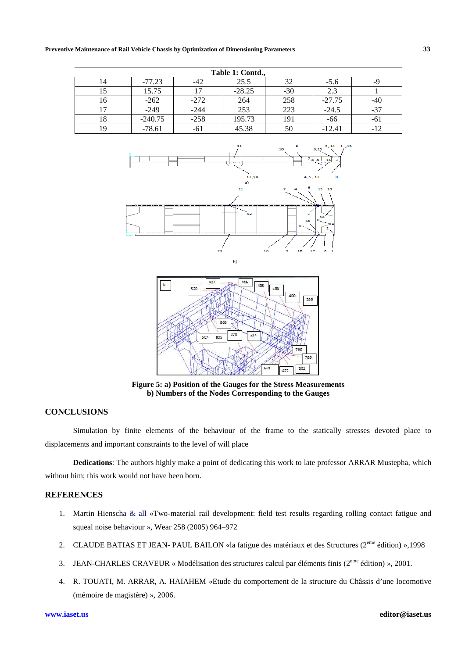#### **Preventive Maintenance of Rail Vehicle Chassis by Optimization of Dimensioning Parameters 33**

| Table 1: Contd., |           |        |          |       |          |       |  |  |  |  |
|------------------|-----------|--------|----------|-------|----------|-------|--|--|--|--|
| 14               | $-77.23$  | -42    | 25.5     | 32    | $-5.6$   |       |  |  |  |  |
| 15               | 15.75     | 17     | $-28.25$ | $-30$ | 2.3      |       |  |  |  |  |
| 16               | $-262$    | $-272$ | 264      | 258   | $-27.75$ |       |  |  |  |  |
|                  | $-249$    | $-244$ | 253      | 223   | $-24.5$  | $-37$ |  |  |  |  |
| 18               | $-240.75$ | $-258$ | 195.73   | 191   | -66      | -61   |  |  |  |  |
| 19               | $-78.61$  | -61    | 45.38    | 50    | $-12.41$ | $-12$ |  |  |  |  |





**Figure 5: a) Position of the Gauges for the Stress Measurements b) Numbers of the Nodes Corresponding to the Gauges**

# **CONCLUSIONS**

Simulation by finite elements of the behaviour of the frame to the statically stresses devoted place to displacements and important constraints to the level of will place

**Dedications**: The authors highly make a point of dedicating this work to late professor ARRAR Mustepha, which without him; this work would not have been born.

# **REFERENCES**

- 1. Martin Hienscha & all «Two-material rail development: field test results regarding rolling contact fatigue and squeal noise behaviour », Wear 258 (2005) 964–972
- 2. CLAUDE BATIAS ET JEAN- PAUL BAILON «la fatigue des matériaux et des Structures (2<sup>eme</sup> édition) »,1998
- 3. JEAN-CHARLES CRAVEUR « Modélisation des structures calcul par éléments finis (2eme édition) », 2001.
- 4. R. TOUATI, M. ARRAR, A. HAIAHEM «Etude du comportement de la structure du Châssis d'une locomotive (mémoire de magistère) », 2006.